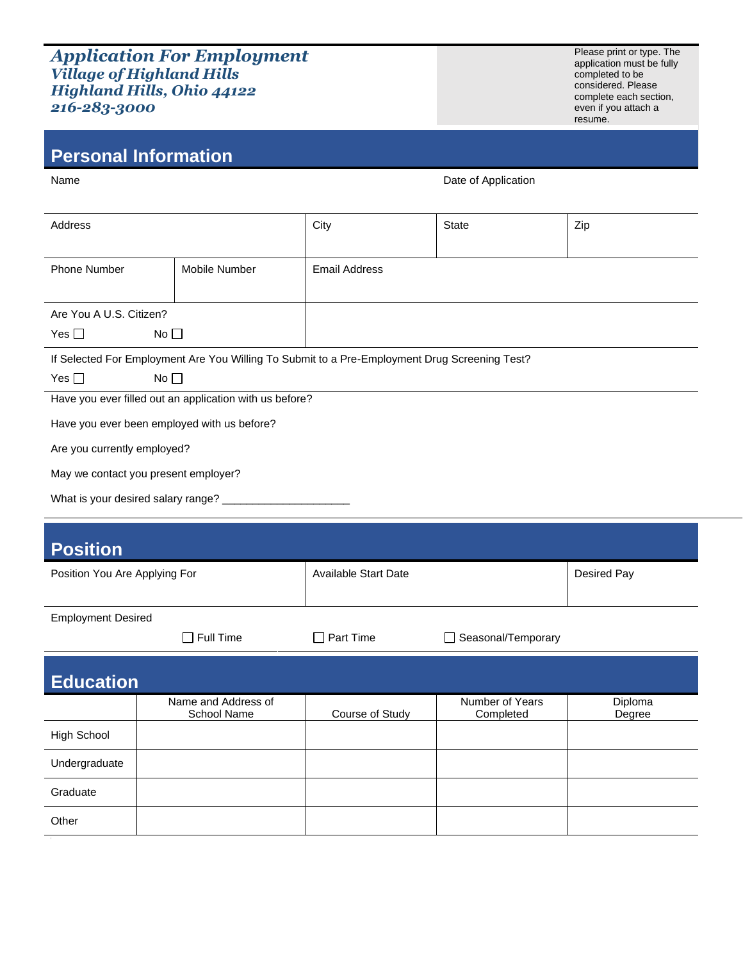## *Application For Employment Village of Highland Hills Highland Hills, Ohio 44122 216-283-3000*

**Personal Information**

Please print or type. The application must be fully completed to be considered. Please complete each section, even if you attach a resume.

| Name                                                                                          |               |                      | Date of Application |     |
|-----------------------------------------------------------------------------------------------|---------------|----------------------|---------------------|-----|
|                                                                                               |               |                      |                     |     |
| Address                                                                                       |               | City                 | State               | Zip |
|                                                                                               |               |                      |                     |     |
| <b>Phone Number</b>                                                                           | Mobile Number | <b>Email Address</b> |                     |     |
|                                                                                               |               |                      |                     |     |
| Are You A U.S. Citizen?                                                                       |               |                      |                     |     |
| No <sub>1</sub><br>Yes $\Box$                                                                 |               |                      |                     |     |
| If Selected For Employment Are You Willing To Submit to a Pre-Employment Drug Screening Test? |               |                      |                     |     |

| Yes $\Box$ | No $\Box$ |
|------------|-----------|
|------------|-----------|

Have you ever filled out an application with us before?

Have you ever been employed with us before?

Are you currently employed?

May we contact you present employer?

What is your desired salary range? \_

| <b>Position</b>               |                                    |                             |                              |                   |
|-------------------------------|------------------------------------|-----------------------------|------------------------------|-------------------|
| Position You Are Applying For |                                    | <b>Available Start Date</b> |                              | Desired Pay       |
|                               |                                    |                             |                              |                   |
| <b>Employment Desired</b>     |                                    |                             |                              |                   |
|                               | $\Box$ Full Time                   | Part Time                   | Seasonal/Temporary           |                   |
| <b>Education</b>              |                                    |                             |                              |                   |
|                               | Name and Address of<br>School Name | Course of Study             | Number of Years<br>Completed | Diploma<br>Degree |
| <b>High School</b>            |                                    |                             |                              |                   |
| Undergraduate                 |                                    |                             |                              |                   |
| Graduate                      |                                    |                             |                              |                   |
| Other                         |                                    |                             |                              |                   |